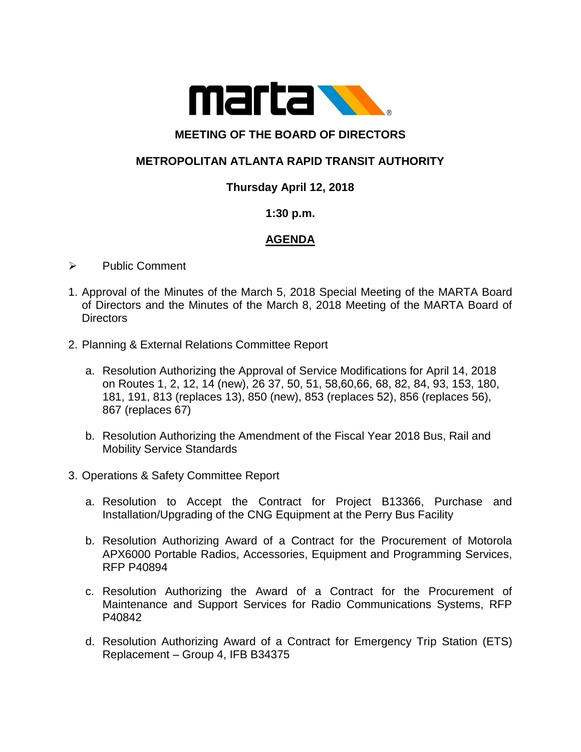

# **MEETING OF THE BOARD OF DIRECTORS**

## **METROPOLITAN ATLANTA RAPID TRANSIT AUTHORITY**

### **Thursday April 12, 2018**

#### **1:30 p.m.**

### **AGENDA**

- ➢ Public Comment
- 1. Approval of the Minutes of the March 5, 2018 Special Meeting of the MARTA Board of Directors and the Minutes of the March 8, 2018 Meeting of the MARTA Board of Directors
- 2. Planning & External Relations Committee Report
	- a. Resolution Authorizing the Approval of Service Modifications for April 14, 2018 on Routes 1, 2, 12, 14 (new), 26 37, 50, 51, 58,60,66, 68, 82, 84, 93, 153, 180, 181, 191, 813 (replaces 13), 850 (new), 853 (replaces 52), 856 (replaces 56), 867 (replaces 67)
	- b. Resolution Authorizing the Amendment of the Fiscal Year 2018 Bus, Rail and Mobility Service Standards
- 3. Operations & Safety Committee Report
	- a. Resolution to Accept the Contract for Project B13366, Purchase and Installation/Upgrading of the CNG Equipment at the Perry Bus Facility
	- b. Resolution Authorizing Award of a Contract for the Procurement of Motorola APX6000 Portable Radios, Accessories, Equipment and Programming Services, RFP P40894
	- c. Resolution Authorizing the Award of a Contract for the Procurement of Maintenance and Support Services for Radio Communications Systems, RFP P40842
	- d. Resolution Authorizing Award of a Contract for Emergency Trip Station (ETS) Replacement – Group 4, IFB B34375